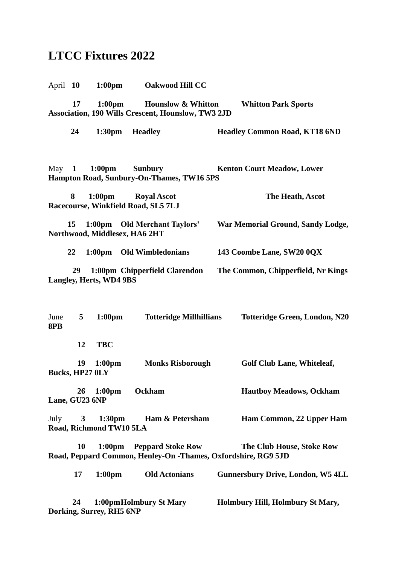## **LTCC Fixtures 2022**

April **10 1:00pm Oakwood Hill CC** 

**17 1:00pm Hounslow & Whitton Whitton Park Sports Association, 190 Wills Crescent, Hounslow, TW3 2JD**

**24 1:30pm Headley Headley Common Road, KT18 6ND**

May **1 1:00pm Sunbury Kenton Court Meadow, Lower Hampton Road, Sunbury-On-Thames, TW16 5PS**

 **8 1:00pm Royal Ascot The Heath, Ascot Racecourse, Winkfield Road, SL5 7LJ**

 **15 1:00pm Old Merchant Taylors' War Memorial Ground, Sandy Lodge, Northwood, Middlesex, HA6 2HT**

**22 1:00pm Old Wimbledonians 143 Coombe Lane, SW20 0QX** 

**29 1:00pm Chipperfield Clarendon The Common, Chipperfield, Nr Kings Langley, Herts, WD4 9BS**

June **5 1:00pm Totteridge Millhillians Totteridge Green, London, N20 8PB** 

**12 TBC** 

 **19 1:00pm Monks Risborough Golf Club Lane, Whiteleaf, Bucks, HP27 0LY**

 **26 1:00pm Ockham Hautboy Meadows, Ockham Lane, GU23 6NP** 

July **3 1:30pm Ham & Petersham Ham Common, 22 Upper Ham Road, Richmond TW10 5LA** 

 **10 1:00pm Peppard Stoke Row The Club House, Stoke Row Road, Peppard Common, Henley-On -Thames, Oxfordshire, RG9 5JD**

 **17 1:00pm Old Actonians Gunnersbury Drive, London, W5 4LL 24 1:00pmHolmbury St Mary Holmbury Hill, Holmbury St Mary, Dorking, Surrey, RH5 6NP**